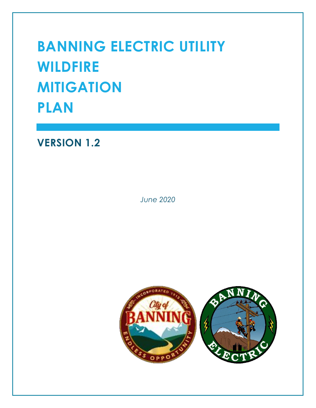# **BANNING ELECTRIC UTILITY WILDFIRE MITIGATION PLAN**

**VERSION 1.2**

*June 2020*

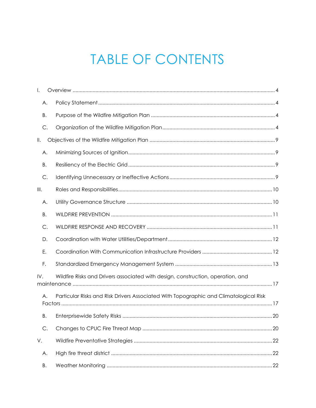# **TABLE OF CONTENTS**

| I.   |                                                                                       |
|------|---------------------------------------------------------------------------------------|
| Α.   |                                                                                       |
| Β.   |                                                                                       |
| С.   |                                                                                       |
| Ⅱ.   |                                                                                       |
| А.   |                                                                                       |
| В.   |                                                                                       |
| С.   |                                                                                       |
| III. |                                                                                       |
| Α.   |                                                                                       |
| В.   |                                                                                       |
| C.   |                                                                                       |
| D.   |                                                                                       |
| Ε.   |                                                                                       |
| F.   |                                                                                       |
| IV.  | Wildfire Risks and Drivers associated with design, construction, operation, and       |
| Α.   | Particular Risks and Risk Drivers Associated With Topographic and Climatological Risk |
| В.   | Enterprisewide Safety Risks<br>20                                                     |
| C.   |                                                                                       |
| V.   |                                                                                       |
| А.   |                                                                                       |
| Β.   |                                                                                       |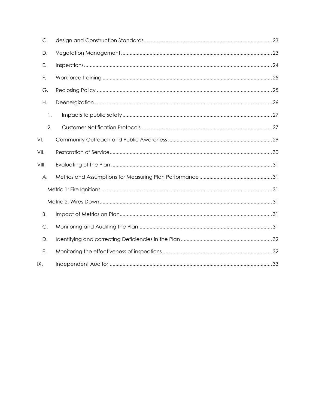| $\mathsf{C}.$ |  |
|---------------|--|
| D.            |  |
| Ε.            |  |
| F.            |  |
| G.            |  |
| Η.            |  |
| 1.            |  |
| 2.            |  |
| VI.           |  |
| VII.          |  |
| VIII.         |  |
| А.            |  |
|               |  |
|               |  |
| В.            |  |
| C.            |  |
| D.            |  |
| Ε.            |  |
| IX.           |  |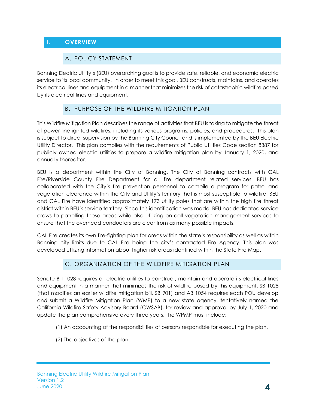# <span id="page-3-1"></span><span id="page-3-0"></span>**I. OVERVIEW**

#### A. POLICY STATEMENT

Banning Electric Utility's (BEU) overarching goal is to provide safe, reliable, and economic electric service to its local community. In order to meet this goal, BEU constructs, maintains, and operates its electrical lines and equipment in a manner that minimizes the risk of catastrophic wildfire posed by its electrical lines and equipment.

#### B. PURPOSE OF THE WILDFIRE MITIGATION PLAN

<span id="page-3-2"></span>This Wildfire Mitigation Plan describes the range of activities that BEU is taking to mitigate the threat of power-line ignited wildfires, including its various programs, policies, and procedures. This plan is subject to direct supervision by the Banning City Council and is implemented by the BEU Electric Utility Director. This plan complies with the requirements of Public Utilities Code section 8387 for publicly owned electric utilities to prepare a wildfire mitigation plan by January 1, 2020, and annually thereafter.

BEU is a department within the City of Banning. The City of Banning contracts with CAL Fire/Riverside County Fire Department for all fire department related services. BEU has collaborated with the City's fire prevention personnel to compile a program for patrol and vegetation clearance within the City and Utility's territory that is most susceptible to wildfire. BEU and CAL Fire have identified approximately 173 utility poles that are within the high fire threat district within BEU's service territory. Since this identification was made, BEU has dedicated service crews to patrolling these areas while also utilizing on-call vegetation management services to ensure that the overhead conductors are clear from as many possible impacts.

CAL Fire creates its own fire-fighting plan for areas within the state's responsibility as well as within Banning city limits due to CAL Fire being the city's contracted Fire Agency. This plan was developed utilizing information about higher risk areas identified within the State Fire Map.

#### C. ORGANIZATION OF THE WILDFIRE MITIGATION PLAN

<span id="page-3-3"></span>Senate Bill 1028 requires all electric utilities to construct, maintain and operate its electrical lines and equipment in a manner that minimizes the risk of wildfire posed by this equipment. SB 1028 (that modifies an earlier wildfire mitigation bill, SB 901) and AB 1054 requires each POU develop and submit a Wildfire Mitigation Plan (WMP) to a new state agency, tentatively named the California Wildfire Safety Advisory Board (CWSAB), for review and approval by July 1, 2020 and update the plan comprehensive every three years. The WPMP must include:

- (1) An accounting of the responsibilities of persons responsible for executing the plan.
- (2) The objectives of the plan.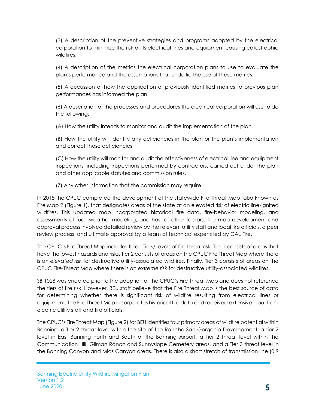(3) A description of the preventive strategies and programs adopted by the electrical corporation to minimize the risk of its electrical lines and equipment causing catastrophic wildfires.

(4) A description of the metrics the electrical corporation plans to use to evaluate the plan's performance and the assumptions that underlie the use of those metrics.

(5) A discussion of how the application of previously identified metrics to previous plan performances has informed the plan.

(6) A description of the processes and procedures the electrical corporation will use to do the following:

(A) How the utility intends to monitor and audit the implementation of the plan.

(B) How the utility will identify any deficiencies in the plan or the plan's implementation and correct those deficiencies.

(C) How the utility will monitor and audit the effectiveness of electrical line and equipment inspections, including inspections performed by contractors, carried out under the plan and other applicable statutes and commission rules.

(7) Any other information that the commission may require.

In 2018 the CPUC completed the development of the statewide Fire Threat Map, also known as Fire Map 2 (Figure 1), that designates areas of the state at an elevated risk of electric line-ignited wildfires. This updated map incorporated historical fire data, fire-behavior modeling, and assessments of fuel, weather modeling, and host of other factors. The map development and approval process involved detailed review by the relevant utility staff and local fire officials, a peer review process, and ultimate approval by a team of technical experts led by CAL Fire.

The CPUC's Fire Threat Map includes three Tiers/Levels of fire threat risk. Tier 1 consists of areas that have the lowest hazards and risks. Tier 2 consists of areas on the CPUC Fire Threat Map where there is an *elevated risk* for destructive utility-associated wildfires. Finally, Tier 3 consists of areas on the CPUC Fire-Threat Map where there is an *extreme risk* for destructive utility-associated wildfires.

SB 1028 was enacted prior to the adoption of the CPUC's Fire Threat Map and does not reference the tiers of fire risk. However, BEU staff believe that the Fire Threat Map is the best source of data for determining whether there is significant risk of wildfire resulting from electrical lines or equipment. The Fire Threat Map incorporates historical fire data and received extensive input from electric utility staff and fire officials.

The CPUC's Fire Threat Map (Figure 2) for BEU identifies four primary areas of wildfire potential within Banning, a Tier 2 threat level within the site of the Rancho San Gorgonio Development, a tier 2 level in East Banning north and South of the Banning Airport, a Tier 2 threat level within the Communication Hill, Gilman Ranch and Sunnyslope Cemetery areas, and a Tier 3 threat level in the Banning Canyon and Mias Canyon areas. There is also a short stretch of transmission line (0.9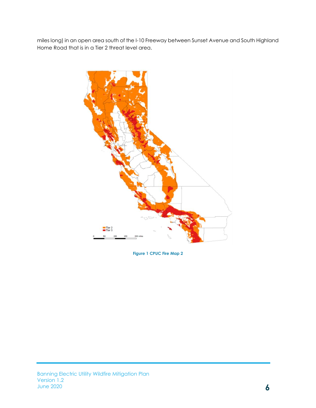miles long) in an open area south of the I-10 Freeway between Sunset Avenue and South Highland Home Road that is in a Tier 2 threat level area.



**Figure 1 CPUC Fire Map 2**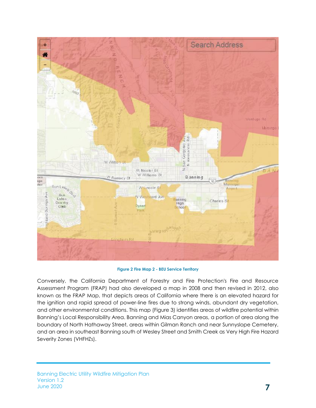

**Figure 2 Fire Map 2 - BEU Service Territory**

Conversely, the California Department of Forestry and Fire Protection's Fire and Resource Assessment Program (FRAP) had also developed a map in 2008 and then revised in 2012, also known as the FRAP Map, that depicts areas of California where there is an elevated hazard for the ignition and rapid spread of power-line fires due to strong winds, abundant dry vegetation, and other environmental conditions. This map (Figure 3) identifies areas of wildfire potential within Banning's Local Responsibility Area. Banning and Mias Canyon areas, a portion of area along the boundary of North Hathaway Street, areas within Gilman Ranch and near Sunnyslope Cemetery, and an area in southeast Banning south of Wesley Street and Smith Creek as Very High Fire Hazard Severity Zones (VHFHZs).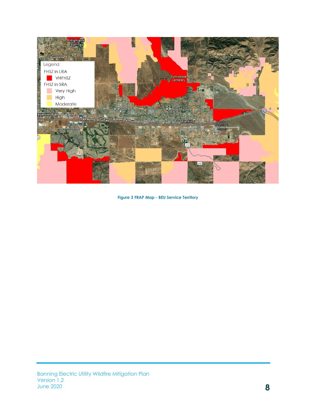

**Figure 3 FRAP Map - BEU Service Territory**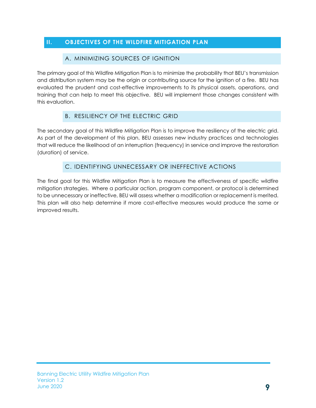# <span id="page-8-1"></span><span id="page-8-0"></span>**II. OBJECTIVES OF THE WILDFIRE MITIGATION PLAN**

#### A. MINIMIZING SOURCES OF IGNITION

The primary goal of this Wildfire Mitigation Plan is to minimize the probability that BEU's transmission and distribution system may be the origin or contributing source for the ignition of a fire. BEU has evaluated the prudent and cost-effective improvements to its physical assets, operations, and training that can help to meet this objective. BEU will implement those changes consistent with this evaluation.

#### B. RESILIENCY OF THE ELECTRIC GRID

<span id="page-8-2"></span>The secondary goal of this Wildfire Mitigation Plan is to improve the resiliency of the electric grid. As part of the development of this plan, BEU assesses new industry practices and technologies that will reduce the likelihood of an interruption (frequency) in service and improve the restoration (duration) of service.

# C. IDENTIFYING UNNECESSARY OR INEFFECTIVE ACTIONS

<span id="page-8-3"></span>The final goal for this Wildfire Mitigation Plan is to measure the effectiveness of specific wildfire mitigation strategies. Where a particular action, program component, or protocol is determined to be unnecessary or ineffective, BEU will assess whether a modification or replacement is merited. This plan will also help determine if more cost-effective measures would produce the same or improved results.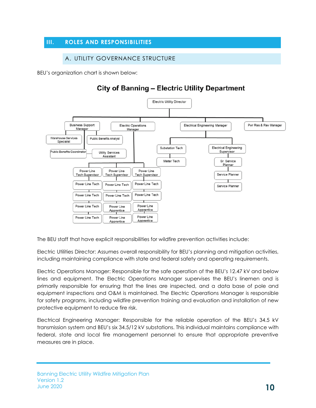## <span id="page-9-1"></span><span id="page-9-0"></span>**III. ROLES AND RESPONSIBILITIES**

#### A. UTILITY GOVERNANCE STRUCTURE

BEU's organization chart is shown below:

# **City of Banning - Electric Utility Department**



The BEU staff that have explicit responsibilities for wildfire prevention activities include:

Electric Utilities Director: Assumes overall responsibility for BEU's planning and mitigation activities, including maintaining compliance with state and federal safety and operating requirements.

Electric Operations Manager: Responsible for the safe operation of the BEU's 12.47 kV and below lines and equipment. The Electric Operations Manager supervises the BEU's linemen and is primarily responsible for ensuring that the lines are inspected, and a data base of pole and equipment inspections and O&M is maintained. The Electric Operations Manager is responsible for safety programs, including wildfire prevention training and evaluation and installation of new protective equipment to reduce fire risk.

Electrical Engineering Manager: Responsible for the reliable operation of the BEU's 34.5 kV transmission system and BEU's six 34.5/12 kV substations. This individual maintains compliance with federal, state and local fire management personnel to ensure that appropriate preventive measures are in place.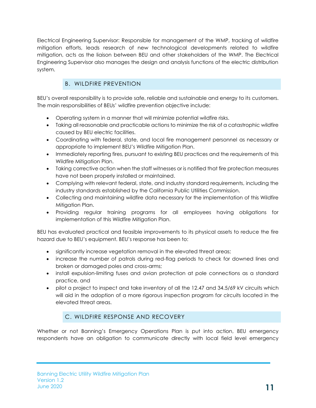Electrical Engineering Supervisor: Responsible for management of the WMP, tracking of wildfire mitigation efforts, leads research of new technological developments related to wildfire mitigation, acts as the liaison between BEU and other stakeholders of the WMP. The Electrical Engineering Supervisor also manages the design and analysis functions of the electric distribution system.

# B. WILDFIRE PREVENTION

<span id="page-10-0"></span>BEU's overall responsibility is to provide safe, reliable and sustainable and energy to its customers. The main responsibilities of BEUs' wildfire prevention objective include:

- Operating system in a manner that will minimize potential wildfire risks.
- Taking all reasonable and practicable actions to minimize the risk of a catastrophic wildfire caused by BEU electric facilities.
- Coordinating with federal, state, and local fire management personnel as necessary or appropriate to implement BEU's Wildfire Mitigation Plan.
- Immediately reporting fires, pursuant to existing BEU practices and the requirements of this Wildfire Mitigation Plan.
- Taking corrective action when the staff witnesses or is notified that fire protection measures have not been properly installed or maintained.
- Complying with relevant federal, state, and industry standard requirements, including the industry standards established by the California Public Utilities Commission.
- Collecting and maintaining wildfire data necessary for the implementation of this Wildfire Mitigation Plan.
- Providing regular training programs for all employees having obligations for implementation of this Wildfire Mitigation Plan.

BEU has evaluated practical and feasible improvements to its physical assets to reduce the fire hazard due to BEU's equipment. BEU's response has been to:

- significantly increase vegetation removal in the elevated threat areas;
- increase the number of patrols during red-flag periods to check for downed lines and broken or damaged poles and cross-arms;
- install expulsion-limiting fuses and avian protection at pole connections as a standard practice, and
- pilot a project to inspect and take inventory of all the 12.47 and 34.5/69 kV circuits which will aid in the adoption of a more rigorous inspection program for circuits located in the elevated threat areas.

#### C. WILDFIRE RESPONSE AND RECOVERY

<span id="page-10-1"></span>Whether or not Banning's Emergency Operations Plan is put into action, BEU emergency respondents have an obligation to communicate directly with local field level emergency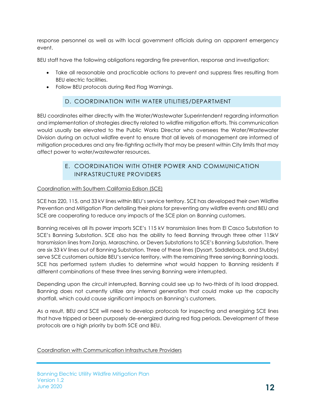response personnel as well as with local government officials during an apparent emergency event.

BEU staff have the following obligations regarding fire prevention, response and investigation:

- Take all reasonable and practicable actions to prevent and suppress fires resulting from BEU electric facilities.
- Follow BEU protocols during Red Flag Warnings.

# D. COORDINATION WITH WATER UTILITIES/DEPARTMENT

<span id="page-11-0"></span>BEU coordinates either directly with the Water/Wastewater Superintendent regarding information and implementation of strategies directly related to wildfire mitigation efforts. This communication would usually be elevated to the Public Works Director who oversees the Water/Wastewater Division during an actual wildfire event to ensure that all levels of management are informed of mitigation procedures and any fire-fighting activity that may be present within City limits that may affect power to water/wastewater resources.

# E. COORDINATION WITH OTHER POWER AND COMMUNICATION INFRASTRUCTURE PROVIDERS

#### <span id="page-11-1"></span>Coordination with Southern California Edison (SCE)

SCE has 220, 115, and 33 kV lines within BEU's service territory. SCE has developed their own Wildfire Prevention and Mitigation Plan detailing their plans for preventing any wildfire events and BEU and SCE are cooperating to reduce any impacts of the SCE plan on Banning customers.

Banning receives all its power imports SCE's 115 kV transmission lines from El Casco Substation to SCE's Banning Substation. SCE also has the ability to feed Banning through three other 115kV transmission lines from Zanja, Maraschino, or Devers Substations to SCE's Banning Substation. There are six 33 kV lines out of Banning Substation. Three of these lines (Dysart, Saddleback, and Stubby) serve SCE customers outside BEU's service territory, with the remaining three serving Banning loads. SCE has performed system studies to determine what would happen to Banning residents if different combinations of these three lines serving Banning were interrupted.

Depending upon the circuit interrupted, Banning could see up to two-thirds of its load dropped. Banning does not currently utilize any internal generation that could make up the capacity shortfall, which could cause significant impacts on Banning's customers.

As a result, BEU and SCE will need to develop protocols for inspecting and energizing SCE lines that have tripped or been purposely de-energized during red flag periods. Development of these protocols are a high priority by both SCE and BEU.

Coordination with Communication Infrastructure Providers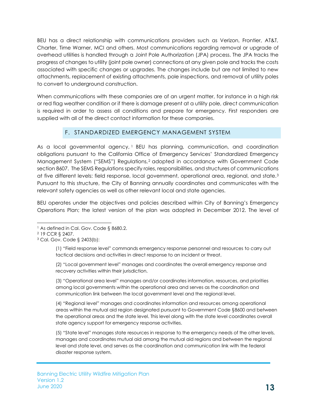BEU has a direct relationship with communications providers such as Verizon, Frontier, AT&T, Charter, Time Warner, MCI and others. Most communications regarding removal or upgrade of overhead utilities is handled through a Joint Pole Authorization (JPA) process. The JPA tracks the progress of changes to utility (joint pole owner) connections at any given pole and tracks the costs associated with specific changes or upgrades. The changes include but are not limited to new attachments, replacement of existing attachments, pole inspections, and removal of utility poles to convert to underground construction.

When communications with these companies are of an urgent matter, for instance in a high risk or red flag weather condition or if there is damage present at a utility pole, direct communication is required in order to assess all conditions and prepare for emergency. First responders are supplied with all of the direct contact information for these companies.

#### F. STANDARDIZED EMERGENCY MANAGEMENT SYSTEM

<span id="page-12-0"></span>As a local governmental agency, <sup>1</sup> BEU has planning, communication, and coordination obligations pursuant to the California Office of Emergency Services' Standardized Emergency Management System ("SEMS") Regulations,<sup>2</sup> adopted in accordance with Government Code section 8607. The SEMS Regulations specify roles, responsibilities, and structures of communications at five different levels: field response, local government, operational area, regional, and state.<sup>3</sup> Pursuant to this structure, the City of Banning annually coordinates and communicates with the relevant safety agencies as well as other relevant local and state agencies.

BEU operates under the objectives and policies described within City of Banning's Emergency Operations Plan; the latest version of the plan was adopted in December 2012. The level of

(1) "Field response level" commands emergency response personnel and resources to carry out tactical decisions and activities in direct response to an incident or threat.

(2) "Local government level" manages and coordinates the overall emergency response and recovery activities within their jurisdiction.

(3) "Operational area level" manages and/or coordinates information, resources, and priorities among local governments within the operational area and serves as the coordination and communication link between the local government level and the regional level.

(4) "Regional level" manages and coordinates information and resources among operational areas within the mutual aid region designated pursuant to Government Code §8600 and between the operational areas and the state level. This level along with the state level coordinates overall state agency support for emergency response activities.

(5) "State level" manages state resources in response to the emergency needs of the other levels, manages and coordinates mutual aid among the mutual aid regions and between the regional level and state level, and serves as the coordination and communication link with the federal disaster response system.

<sup>&</sup>lt;sup>1</sup> As defined in Cal. Gov. Code § 8680.2.

<sup>2</sup> 19 CCR § 2407.

<sup>3</sup> Cal. Gov. Code § 2403(b):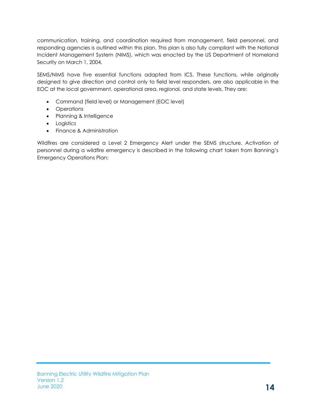communication, training, and coordination required from management, field personnel, and responding agencies is outlined within this plan. This plan is also fully compliant with the National Incident Management System (NIMS), which was enacted by the US Department of Homeland Security on March 1, 2004.

SEMS/NIMS have five essential functions adapted from ICS. These functions, while originally designed to give direction and control only to field level responders, are also applicable in the EOC at the local government, operational area, regional, and state levels. They are:

- Command (field level) or Management (EOC level)
- Operations
- Planning & Intelligence
- Logistics
- Finance & Administration

Wildfires are considered a Level 2 Emergency Alert under the SEMS structure. Activation of personnel during a wildfire emergency is described in the following chart taken from Banning's Emergency Operations Plan: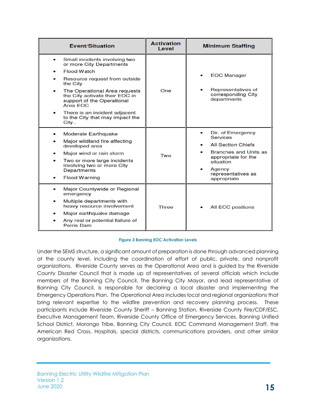| Event/Situation                                                                                                                                                                                                                                                                                                                 | <b>Activation</b><br>Level | <b>Minimum Staffing</b>                                                                                                                                                              |
|---------------------------------------------------------------------------------------------------------------------------------------------------------------------------------------------------------------------------------------------------------------------------------------------------------------------------------|----------------------------|--------------------------------------------------------------------------------------------------------------------------------------------------------------------------------------|
| Small incidents involving two<br>۰<br>or more City Departments<br><b>Flood Watch</b><br>Resource request from outside<br>the City<br>The Operational Area requests<br>۰<br>the City activate their EOC in<br>support of the Operational<br>Area FOC<br>There is an incident adjacent<br>to the City that may impact the<br>City | One                        | <b>EOC Manager</b><br>Representatives of<br>corresponding City<br>departments                                                                                                        |
| Moderate Earthquake<br>Major wildland fire affecting<br>developed area<br>Major wind or rain storm<br>Two or more large incidents<br>involving two or more City<br><b>Departments</b><br><b>Flood Warning</b>                                                                                                                   | Two                        | Dir. of Emergency<br><b>Services</b><br><b>All Section Chiefs</b><br><b>Branches and Units as</b><br>appropriate for the<br>situation<br>Agency<br>representatives as<br>appropriate |
| Major Countywide or Regional<br>۰<br>emergency<br>Multiple departments with<br>heavy resource involvement<br>Major earthquake damage<br>Any real or potential failure of<br><b>Perris Dam</b>                                                                                                                                   | <b>Three</b>               | <b>All EOC positions</b>                                                                                                                                                             |

#### **Figure 3 Banning EOC Activation Levels**

Under the SEMS structure, a significant amount of preparation is done through advanced planning at the county level, including the coordination of effort of public, private, and nonprofit organizations. Riverside County serves as the Operational Area and is guided by the Riverside County Disaster Council that is made up of representatives of several officials which include members of the Banning City Council. The Banning City Mayor, and lead representative of Banning City Council, is responsible for declaring a local disaster and implementing the Emergency Operations Plan. The Operational Area includes local and regional organizations that bring relevant expertise to the wildfire prevention and recovery planning process. These participants include Riverside County Sheriff – Banning Station, Riverside County Fire/CDF/ESC, Executive Management Team, Riverside County Office of Emergency Services, Banning Unified School District, Morongo Tribe, Banning City Council, EOC Command Management Staff, the American Red Cross, Hospitals, special districts, communications providers, and other similar organizations.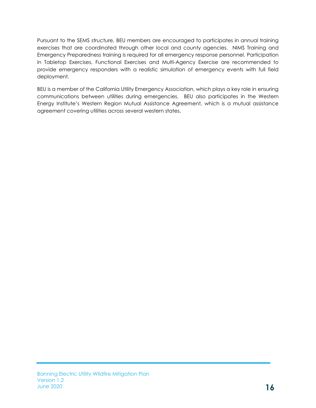Pursuant to the SEMS structure, BEU members are encouraged to participates in annual training exercises that are coordinated through other local and county agencies. NIMS Training and Emergency Preparedness training is required for all emergency response personnel. Participation in Tabletop Exercises, Functional Exercises and Multi-Agency Exercise are recommended to provide emergency responders with a realistic simulation of emergency events with full field deployment.

BEU is a member of the California Utility Emergency Association, which plays a key role in ensuring communications between utilities during emergencies. BEU also participates in the Western Energy Institute's Western Region Mutual Assistance Agreement, which is a mutual assistance agreement covering utilities across several western states.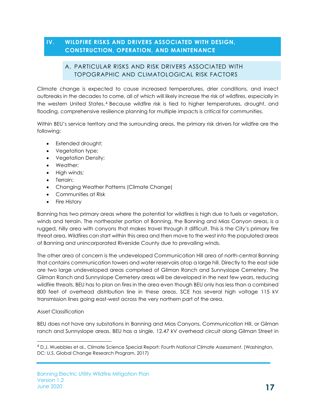#### <span id="page-16-1"></span><span id="page-16-0"></span>**IV. WILDFIRE RISKS AND DRIVERS ASSOCIATED WITH DESIGN, CONSTRUCTION, OPERATION, AND MAINTENANCE**

#### A. PARTICULAR RISKS AND RISK DRIVERS ASSOCIATED WITH TOPOGRAPHIC AND CLIMATOLOGICAL RISK FACTORS

Climate change is expected to cause increased temperatures, drier conditions, and insect outbreaks in the decades to come, all of which will likely increase the risk of wildfires, especially in the western United States. <sup>4</sup> Because wildfire risk is tied to higher temperatures, drought, and flooding, comprehensive resilience planning for multiple impacts is critical for communities.

Within BEU's service territory and the surrounding areas, the primary risk drivers for wildfire are the following:

- Extended drought;
- Vegetation type;
- Vegetation Density;
- Weather;
- High winds;
- Terrain;
- Changing Weather Patterns (Climate Change)
- Communities at Risk
- Fire History

Banning has two primary areas where the potential for wildfires is high due to fuels or vegetation, winds and terrain. The northeaster portion of Banning, the Banning and Mias Canyon areas, is a rugged, hilly area with canyons that makes travel through it difficult. This is the City's primary fire threat area. Wildfires can start within this area and then move to the west into the populated areas of Banning and unincorporated Riverside County due to prevailing winds.

The other area of concern is the undeveloped Communication Hill area of north-central Banning that contains communication towers and water reservoirs atop a large hill. Directly to the east side are two large undeveloped areas comprised of Gilman Ranch and Sunnyslope Cemetery. The Gilman Ranch and Sunnyslope Cemetery areas will be developed in the next few years, reducing wildfire threats. BEU has to plan on fires in the area even though BEU only has less than a combined 800 feet of overhead distribution line in these areas. SCE has several high voltage 115 kV transmission lines going east-west across the very northern part of the area.

#### Asset Classification

BEU does not have any substations in Banning and Mias Canyons, Communication Hill, or Gilman ranch and Sunnyslope areas. BEU has a single, 12.47 kV overhead circuit along Gilman Street in

<sup>4</sup> D.J. Wuebbles et al., Climate Science Special Report: *Fourth National Climate Assessment*, (Washington, DC: U.S. Global Change Research Program, 2017)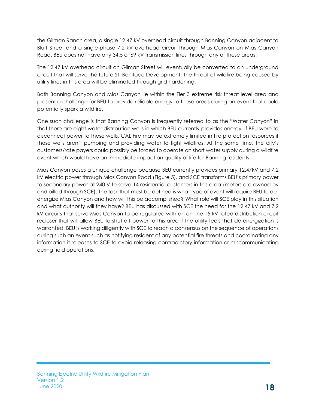the Gilman Ranch area, a single 12.47 kV overhead circuit through Banning Canyon adjacent to Bluff Street and a single-phase 7.2 kV overhead circuit through Mias Canyon on Mias Canyon Road. BEU does not have any 34.5 or 69 kV transmission lines through any of these areas.

The 12.47 kV overhead circuit on Gilman Street will eventually be converted to an underground circuit that will serve the future St. Boniface Development. The threat of wildfire being caused by utility lines in this area will be eliminated through grid hardening.

Both Banning Canyon and Mias Canyon lie within the Tier 3 extreme risk threat level area and present a challenge for BEU to provide reliable energy to these areas during an event that could potentially spark a wildfire.

One such challenge is that Banning Canyon is frequently referred to as the "Water Canyon" in that there are eight water distribution wells in which BEU currently provides energy. If BEU were to disconnect power to these wells, CAL Fire may be extremely limited in fire protection resources if these wells aren't pumping and providing water to fight wildfires. At the same time, the city's customers/rate payers could possibly be forced to operate on short water supply during a wildfire event which would have an immediate impact on quality of life for Banning residents.

Mias Canyon poses a unique challenge because BEU currently provides primary 12.47kV and 7.2 kV electric power through Mias Canyon Road (Figure 5), and SCE transforms BEU's primary power to secondary power at 240 V to serve 14 residential customers in this area (meters are owned by and billed through SCE). The task that must be defined is what type of event will require BEU to deenergize Mias Canyon and how will this be accomplished? What role will SCE play in this situation and what authority will they have? BEU has discussed with SCE the need for the 12.47 kV and 7.2 kV circuits that serve Mias Canyon to be regulated with an on-line 15 kV rated distribution circuit recloser that will allow BEU to shut off power to this area if the utility feels that de-energization is warranted. BEU is working diligently with SCE to reach a consensus on the sequence of operations during such an event such as notifying resident of any potential fire threats and coordinating any information it releases to SCE to avoid releasing contradictory information or miscommunicating during field operations.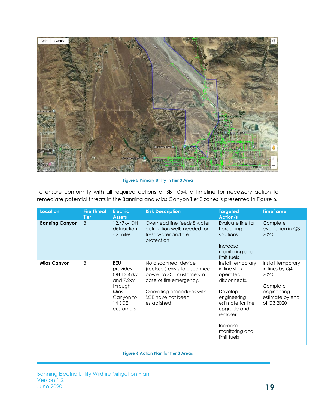

**Figure 5 Primary Utility in Tier 3 Area**

To ensure conformity with all required actions of SB 1054, a timeline for necessary action to remediate potential threats in the Banning and Mias Canyon Tier 3 zones is presented in Figure 6.

| <b>Location</b>       | <b>Fire Threat</b><br><b>Tier</b> | <b>Electric</b><br><b>Assets</b>                                                                         | <b>Risk Description</b>                                                                                                                                                          | <b>Targeted</b><br><b>Action/s</b>                                                                                                                                                    | <b>Timeframe</b>                                                                                          |
|-----------------------|-----------------------------------|----------------------------------------------------------------------------------------------------------|----------------------------------------------------------------------------------------------------------------------------------------------------------------------------------|---------------------------------------------------------------------------------------------------------------------------------------------------------------------------------------|-----------------------------------------------------------------------------------------------------------|
| <b>Banning Canyon</b> | 3                                 | 12.47kv OH<br>distribution<br>- 2 miles                                                                  | Overhead line feeds 8 water<br>distribution wells needed for<br>fresh water and fire<br>protection                                                                               | Evaluate line for<br>hardening<br>solutions<br>Increase<br>monitoring and<br>limit fuels                                                                                              | Complete<br>evaluation in Q3<br>2020                                                                      |
| <b>Mias Canyon</b>    | 3                                 | <b>BEU</b><br>provides<br>OH 12.47kv<br>and 7.2kv<br>through<br>Mias<br>Canyon to<br>14 SCE<br>customers | No disconnect device<br>(recloser) exists to disconnect<br>power to SCE customers in<br>case of fire emergency.<br>Operating procedures with<br>SCE have not been<br>established | Install temporary<br>in-line stick<br>operated<br>disconnects.<br>Develop<br>engineering<br>estimate for line<br>upgrade and<br>recloser<br>Increase<br>monitoring and<br>limit fuels | Install temporary<br>in-lines by $Q4$<br>2020<br>Complete<br>engineering<br>estimate by end<br>of Q3 2020 |

**Figure 6 Action Plan for Tier 3 Areas**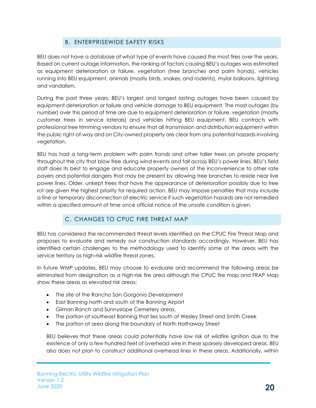# B. ENTERPRISEWIDE SAFETY RISKS

<span id="page-19-0"></span>BEU does not have a database of what type of events have caused the most fires over the years. Based on current outage information, the ranking of factors causing BEU's outages was estimated as equipment deterioration or failure, vegetation (tree branches and palm fronds), vehicles running into BEU equipment, animals (mostly birds, snakes, and rodents), mylar balloons, lightning and vandalism.

During the past three years, BEU's largest and longest lasting outages have been caused by equipment deterioration or failure and vehicle damage to BEU equipment. The most outages (by number) over this period of time are due to equipment deterioration or failure, vegetation (mostly customer trees in service laterals) and vehicles hitting BEU equipment. BEU contracts with professional tree trimming vendors to ensure that all transmission and distribution equipment within the public right-of-way and on City-owned property are clear from any potential hazards involving vegetation.

BEU has had a long-term problem with palm fronds and other taller trees on private property throughout the city that blow free during wind events and fall across BEU's power lines. BEU's field staff does its best to engage and educate property owners of the inconvenience to other rate payers and potential dangers that may be present by allowing tree branches to reside near live power lines. Older, unkept trees that have the appearance of deterioration possibly due to tree rot are given the highest priority for required action. BEU may impose penalties that may include a fine or temporary disconnection of electric service if such vegetation hazards are not remedied within a specified amount of time once official notice of the unsafe condition is given.

#### C. CHANGES TO CPUC FIRE THREAT MAP

<span id="page-19-1"></span>BEU has considered the recommended threat levels identified on the CPUC Fire Threat Map and proposes to evaluate and remedy our construction standards accordingly. However, BEU has identified certain challenges to the methodology used to identify some of the areas with the service territory as high-risk wildfire threat zones.

In future WMP updates, BEU may choose to evaluate and recommend the following areas be eliminated from designation as a high-risk fire area although the CPUC fire map and FRAP Map show these areas as elevated risk areas:

- The site of the Rancho San Gorgonio Development
- East Banning north and south of the Banning Airport
- Gilman Ranch and Sunnyslope Cemetery areas,
- The portion of southeast Banning that lies south of Wesley Street and Smith Creek
- The portion of area along the boundary of North Hathaway Street

BEU believes that these areas could potentially have low risk of wildfire ignition due to the existence of only a few hundred feet of overhead wire in these sparsely developed areas. BEU also does not plan to construct additional overhead lines in these areas. Additionally, within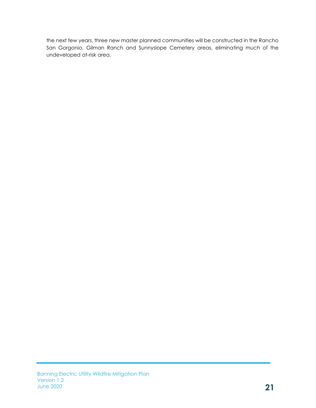the next few years, three new master planned communities will be constructed in the Rancho San Gorgonio, Gilman Ranch and Sunnyslope Cemetery areas, eliminating much of the undeveloped at-risk area.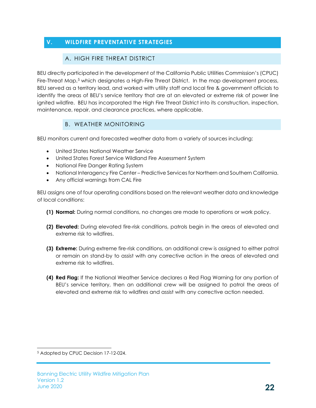# <span id="page-21-1"></span><span id="page-21-0"></span>**V. WILDFIRE PREVENTATIVE STRATEGIES**

#### A. HIGH FIRE THREAT DISTRICT

BEU directly participated in the development of the California Public Utilities Commission's (CPUC) Fire-Threat Map,<sup>5</sup> which designates a High-Fire Threat District. In the map development process, BEU served as a territory lead, and worked with utility staff and local fire & government officials to identify the areas of BEU's service territory that are at an elevated or extreme risk of power line ignited wildfire. BEU has incorporated the High Fire Threat District into its construction, inspection, maintenance, repair, and clearance practices, where applicable.

# B. WEATHER MONITORING

<span id="page-21-2"></span>BEU monitors current and forecasted weather data from a variety of sources including:

- United States National Weather Service
- United States Forest Service Wildland Fire Assessment System
- National Fire Danger Rating System
- National Interagency Fire Center Predictive Services for Northern and Southern California.
- Any official warnings from CAL Fire

BEU assigns one of four operating conditions based on the relevant weather data and knowledge of local conditions:

- **(1) Normal:** During normal conditions, no changes are made to operations or work policy.
- **(2) Elevated:** During elevated fire-risk conditions, patrols begin in the areas of elevated and extreme risk to wildfires.
- **(3) Extreme:** During extreme fire-risk conditions, an additional crew is assigned to either patrol or remain on stand-by to assist with any corrective action in the areas of elevated and extreme risk to wildfires.
- **(4) Red Flag:** If the National Weather Service declares a Red Flag Warning for any portion of BEU's service territory, then an additional crew will be assigned to patrol the areas of elevated and extreme risk to wildfires and assist with any corrective action needed.

<sup>5</sup> Adopted by CPUC Decision 17-12-024.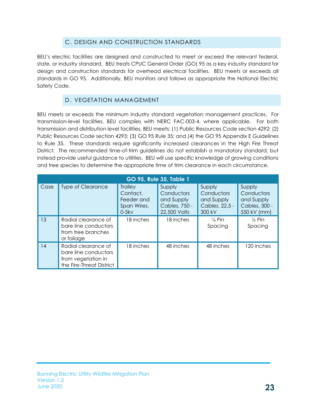# C. DESIGN AND CONSTRUCTION STANDARDS

<span id="page-22-0"></span>BEU's electric facilities are designed and constructed to meet or exceed the relevant federal, state, or industry standard. BEU treats CPUC General Order (GO) 95 as a key industry standard for design and construction standards for overhead electrical facilities. BEU meets or exceeds all standards in GO 95. Additionally, BEU monitors and follows as appropriate the National Electric Safety Code.

#### D. VEGETATION MANAGEMENT

<span id="page-22-1"></span>BEU meets or exceeds the minimum industry standard vegetation management practices. For transmission-level facilities, BEU complies with NERC FAC-003-4, where applicable. For both transmission and distribution level facilities, BEU meets: (1) Public Resources Code section 4292; (2) Public Resources Code section 4293; (3) GO 95 Rule 35; and (4) the GO 95 Appendix E Guidelines to Rule 35. These standards require significantly increased clearances in the High Fire Threat District. The recommended time-of-trim guidelines do not establish a mandatory standard, but instead provide useful guidance to utilities. BEU will use specific knowledge of growing conditions and tree species to determine the appropriate time of trim clearance in each circumstance.

| GO 95, Rule 35, Table 1 |                                                                                               |                                                                    |                                                                     |                                                                |                                                                    |  |
|-------------------------|-----------------------------------------------------------------------------------------------|--------------------------------------------------------------------|---------------------------------------------------------------------|----------------------------------------------------------------|--------------------------------------------------------------------|--|
| Case                    | <b>Type of Clearance</b>                                                                      | <b>Trolley</b><br>Contact.<br>Feeder and<br>Span Wires,<br>$0-5kv$ | Supply<br>Conductors<br>and Supply<br>Cables, 750 -<br>22,500 Volts | Supply<br>Conductors<br>and Supply<br>Cables, 22.5 -<br>300 kV | Supply<br>Conductors<br>and Supply<br>Cables, 300 -<br>550 kV (mm) |  |
| 13                      | Radial clearance of<br>bare line conductors<br>from tree branches<br>or foliage               | 18 inches                                                          | 18 inches                                                           | $\frac{1}{4}$ Pin<br>Spacing                                   | $\frac{1}{2}$ Pin<br>Spacing                                       |  |
| 14                      | Radial clearance of<br>bare line conductors<br>from vegetation in<br>the Fire-Threat District | 18 inches                                                          | 48 inches                                                           | 48 inches                                                      | 120 inches                                                         |  |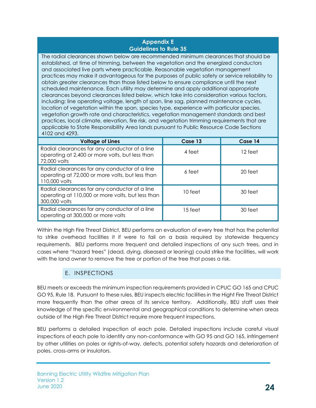#### **Appendix E Guidelines to Rule 35**

The radial clearances shown below are recommended minimum clearances that should be established, at time of trimming, between the vegetation and the energized conductors and associated live parts where practicable. Reasonable vegetation management practices may make it advantageous for the purposes of public safety or service reliability to obtain greater clearances than those listed below to ensure compliance until the next scheduled maintenance. Each utility may determine and apply additional appropriate clearances beyond clearances listed below, which take into consideration various factors, including: line operating voltage, length of span, line sag, planned maintenance cycles, location of vegetation within the span, species type, experience with particular species, vegetation growth rate and characteristics, vegetation management standards and best practices, local climate, elevation, fire risk, and vegetation trimming requirements that are applicable to State Responsibility Area lands pursuant to Public Resource Code Sections 4102 and 4293.

| <b>Voltage of Lines</b>                                                                                             | Case 13 | Case 14 |
|---------------------------------------------------------------------------------------------------------------------|---------|---------|
| Radial clearances for any conductor of a line<br>operating at 2,400 or more volts, but less than<br>72,000 volts    | 4 feet  | 12 feet |
| Radial clearances for any conductor of a line<br>operating at 72,000 or more volts, but less than<br>110,000 volts  | 6 feet  | 20 feet |
| Radial clearances for any conductor of a line<br>operating at 110,000 or more volts, but less than<br>300,000 volts | 10 feet | 30 feet |
| Radial clearances for any conductor of a line<br>operating at 300,000 or more volts                                 | 15 feet | 30 feet |

Within the High Fire Threat District, BEU performs an evaluation of every tree that has the potential to strike overhead facilities it if were to fail on a basis required by statewide frequency requirements. BEU performs more frequent and detailed inspections of any such trees, and in cases where "hazard trees" (dead, dying, diseased or leaning) could strike the facilities, will work with the land owner to remove the tree or portion of the tree that poses a risk.

#### E. INSPECTIONS

<span id="page-23-0"></span>BEU meets or exceeds the minimum inspection requirements provided in CPUC GO 165 and CPUC GO 95, Rule 18. Pursuant to these rules, BEU inspects electric facilities in the Hight Fire Threat District more frequently than the other areas of its service territory. Additionally, BEU staff uses their knowledge of the specific environmental and geographical conditions to determine when areas outside of the High Fire Threat District require more frequent inspections.

BEU performs a detailed inspection of each pole. Detailed inspections include careful visual inspections of each pole to identify any non-conformance with GO 95 and GO 165, infringement by other utilities on poles or rights-of-way, defects, potential safety hazards and deterioration of poles, cross-arms or insulators.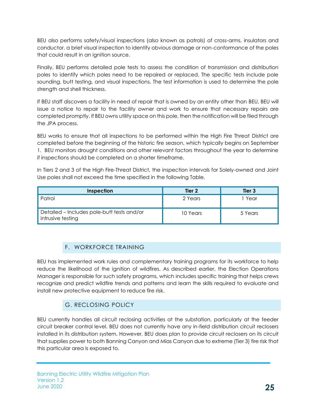BEU also performs safety/visual inspections (also known as patrols) of cross-arms, insulators and conductor, a brief visual inspection to identify obvious damage or non-conformance of the poles that could result in an ignition source.

Finally, BEU performs detailed pole tests to assess the condition of transmission and distribution poles to identify which poles need to be repaired or replaced. The specific tests include pole sounding, butt testing, and visual inspections. The test information is used to determine the pole strength and shell thickness.

If BEU staff discovers a facility in need of repair that is owned by an entity other than BEU, BEU will issue a notice to repair to the facility owner and work to ensure that necessary repairs are completed promptly. If BEU owns utility space on this pole, then the notification will be filed through the JPA process.

BEU works to ensure that all inspections to be performed within the High Fire Threat District are completed before the beginning of the historic fire season, which typically begins on September 1. BEU monitors drought conditions and other relevant factors throughout the year to determine if inspections should be completed on a shorter timeframe.

In Tiers 2 and 3 of the High Fire-Threat District, the inspection intervals for Solely-owned and Joint Use poles shall not exceed the time specified in the following Table.

| Inspection                                                      | Tier 2   | Tier 3  |
|-----------------------------------------------------------------|----------|---------|
| Patrol                                                          | 2 Years  | Year    |
| Detailed - Includes pole-butt tests and/or<br>intrusive testing | 10 Years | 5 Years |

# F. WORKFORCE TRAINING

<span id="page-24-0"></span>BEU has implemented work rules and complementary training programs for its workforce to help reduce the likelihood of the ignition of wildfires. As described earlier, the Election Operations Manager is responsible for such safety programs, which includes specific training that helps crews recognize and predict wildfire trends and patterns and learn the skills required to evaluate and install new protective equipment to reduce fire risk.

# G. RECLOSING POLICY

<span id="page-24-1"></span>BEU currently handles all circuit reclosing activities at the substation, particularly at the feeder circuit breaker control level. BEU does not currently have any in-field distribution circuit reclosers installed in its distribution system. However, BEU does plan to provide circuit reclosers on its circuit that supplies power to both Banning Canyon and Mias Canyon due to extreme (Tier 3) fire risk that this particular area is exposed to.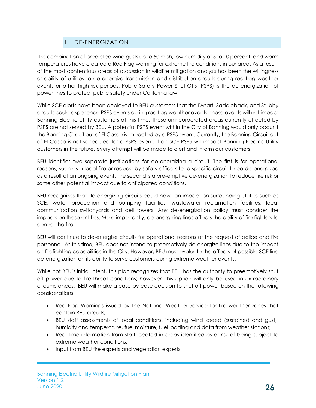# H. DE-ENERGIZATION

<span id="page-25-0"></span>The combination of predicted wind gusts up to 50 mph, low humidity of 5 to 10 percent, and warm temperatures have created a Red Flag warning for extreme fire conditions in our area. As a result, of the most contentious areas of discussion in wildfire mitigation analysis has been the willingness or ability of utilities to de-energize transmission and distribution circuits during red flag weather events or other high-risk periods. Public Safety Power Shut-Offs (PSPS) is the de-energization of power lines to protect public safety under California law.

While SCE alerts have been deployed to BEU customers that the Dysart, Saddleback, and Stubby circuits could experience PSPS events during red flag weather events, these events will not impact Banning Electric Utility customers at this time. These unincorporated areas currently affected by PSPS are not served by BEU. A potential PSPS event within the City of Banning would only occur if the Banning Circuit out of El Casco is impacted by a PSPS event. Currently, the Banning Circuit out of El Casco is not scheduled for a PSPS event. If an SCE PSPS will impact Banning Electric Utility customers in the future, every attempt will be made to alert and inform our customers.

BEU identifies two separate justifications for de-energizing a circuit. The first is for operational reasons, such as a local fire or request by safety officers for a specific circuit to be de-energized as a result of an ongoing event. The second is a pre-emptive de-energization to reduce fire risk or some other potential impact due to anticipated conditions.

BEU recognizes that de-energizing circuits could have an impact on surrounding utilities such as SCE, water production and pumping facilities, wastewater reclamation facilities, local communication switchyards and cell towers. Any de-energization policy must consider the impacts on these entities. More importantly, de-energizing lines affects the ability of fire fighters to control the fire.

BEU will continue to de-energize circuits for operational reasons at the request of police and fire personnel. At this time, BEU does not intend to preemptively de-energize lines due to the impact on firefighting capabilities in the City. However, BEU must evaluate the effects of possible SCE line de-energization on its ability to serve customers during extreme weather events.

While not BEU's initial intent, this plan recognizes that BEU has the authority to preemptively shut off power due to fire-threat conditions; however, this option will only be used in extraordinary circumstances. BEU will make a case-by-case decision to shut off power based on the following considerations:

- Red Flag Warnings issued by the National Weather Service for fire weather zones that contain BEU circuits;
- BEU staff assessments of local conditions, including wind speed (sustained and gust), humidity and temperature, fuel moisture, fuel loading and data from weather stations;
- Real-time information from staff located in areas identified as at risk of being subject to extreme weather conditions;
- Input from BEU fire experts and vegetation experts;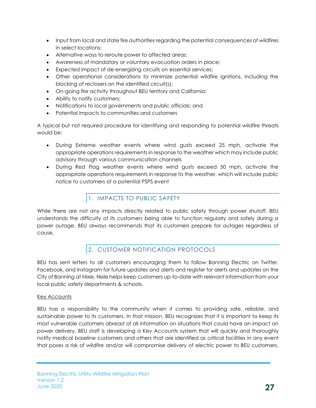- Input from local and state fire authorities regarding the potential consequences of wildfires in select locations;
- Alternative ways to reroute power to affected areas;
- Awareness of mandatory or voluntary evacuation orders in place;
- Expected impact of de-energizing circuits on essential services;
- Other operational considerations to minimize potential wildfire ignitions, including the blocking of reclosers on the identified circuit(s);
- On-going fire activity throughout BEU territory and California;
- Ability to notify customers;
- Notifications to local governments and public officials; and
- Potential impacts to communities and customers

A typical but not required procedure for identifying and responding to potential wildfire threats would be:

- During Extreme weather events where wind gusts exceed 25 mph, activate the appropriate operations requirements in response to the weather which may include public advisory through various communication channels
- During Red Flag weather events where wind gusts exceed 50 mph, activate the appropriate operations requirements in response to the weather, which will include public notice to customers of a potential PSPS event

# 1. IMPACTS TO PUBLIC SAFETY

<span id="page-26-0"></span>While there are not any impacts directly related to public safety through power shutoff, BEU understands the difficulty of its customers being able to function regularly and safely during a power outage. BEU always recommends that its customers prepare for outages regardless of cause.

# 2. CUSTOMER NOTIFICATION PROTOCOLS

<span id="page-26-1"></span>BEU has sent letters to all customers encouraging them to follow Banning Electric on Twitter, Facebook, and Instagram for future updates and alerts and register for alerts and updates on the City of Banning at Nixle. Nixle helps keep customers up-to-date with relevant information from your local public safety departments & schools.

#### Key Accounts

BEU has a responsibility to the community when it comes to providing safe, reliable, and sustainable power to its customers. In that mission, BEU recognizes that it is important to keep its most vulnerable customers abreast of all information on situations that could have an impact on power delivery. BEU staff is developing a Key Accounts system that will quickly and thoroughly notify medical baseline customers and others that are identified as critical facilities in any event that poses a risk of wildfire and/or will compromise delivery of electric power to BEU customers.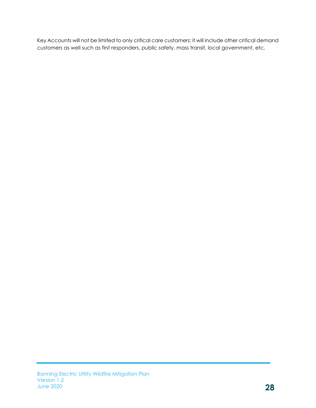Key Accounts will not be limited to only critical care customers; it will include other critical demand customers as well such as first responders, public safety, mass transit, local government, etc.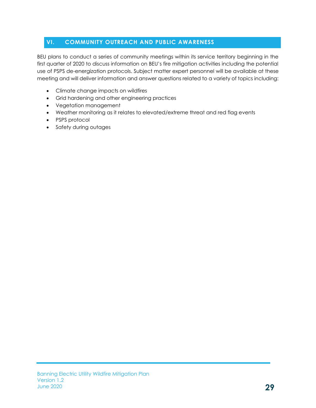# <span id="page-28-0"></span>**VI. COMMUNITY OUTREACH AND PUBLIC AWARENESS**

BEU plans to conduct a series of community meetings within its service territory beginning in the first quarter of 2020 to discuss information on BEU's fire mitigation activities including the potential use of PSPS de-energization protocols. Subject matter expert personnel will be available at these meeting and will deliver information and answer questions related to a variety of topics including:

- Climate change impacts on wildfires
- Grid hardening and other engineering practices
- Vegetation management
- Weather monitoring as it relates to elevated/extreme threat and red flag events
- PSPS protocol
- Safety during outages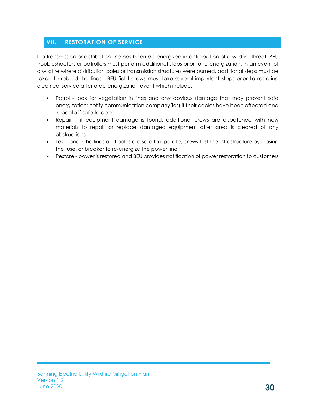# <span id="page-29-0"></span>**VII. RESTORATION OF SERVICE**

If a transmission or distribution line has been de-energized in anticipation of a wildfire threat, BEU troubleshooters or patrollers must perform additional steps prior to re-energization. In an event of a wildfire where distribution poles or transmission structures were burned, additional steps must be taken to rebuild the lines. BEU field crews must take several important steps prior to restoring electrical service after a de-energization event which include:

- Patrol look for vegetation in lines and any obvious damage that may prevent safe energization; notify communication company(ies) if their cables have been affected and relocate if safe to do so
- Repair if equipment damage is found, additional crews are dispatched with new materials to repair or replace damaged equipment after area is cleared of any obstructions
- Test once the lines and poles are safe to operate, crews test the infrastructure by closing the fuse, or breaker to re-energize the power line
- Restore power is restored and BEU provides notification of power restoration to customers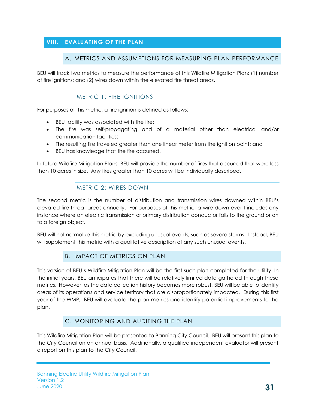# <span id="page-30-1"></span><span id="page-30-0"></span>**VIII. EVALUATING OF THE PLAN**

#### A. METRICS AND ASSUMPTIONS FOR MEASURING PLAN PERFORMANCE

BEU will track two metrics to measure the performance of this Wildfire Mitigation Plan: (1) number of fire ignitions; and (2) wires down within the elevated fire threat areas.

# METRIC 1: FIRE IGNITIONS

<span id="page-30-2"></span>For purposes of this metric, a fire ignition is defined as follows:

- BEU facility was associated with the fire;
- The fire was self-propagating and of a material other than electrical and/or communication facilities;
- The resulting fire traveled greater than one linear meter from the ignition point; and
- BEU has knowledge that the fire occurred.

In future Wildfire Mitigation Plans, BEU will provide the number of fires that occurred that were less than 10 acres in size. Any fires greater than 10 acres will be individually described.

# METRIC 2: WIRES DOWN

<span id="page-30-3"></span>The second metric is the number of distribution and transmission wires downed within BEU's elevated fire threat areas annually. For purposes of this metric, a wire down event includes any instance where an electric transmission or primary distribution conductor falls to the ground or on to a foreign object.

BEU will not normalize this metric by excluding unusual events, such as severe storms. Instead, BEU will supplement this metric with a qualitative description of any such unusual events.

#### B. IMPACT OF METRICS ON PLAN

<span id="page-30-4"></span>This version of BEU's Wildfire Mitigation Plan will be the first such plan completed for the utility. In the initial years, BEU anticipates that there will be relatively limited data gathered through these metrics. However, as the data collection history becomes more robust, BEU will be able to identify areas of its operations and service territory that are disproportionately impacted. During this first year of the WMP, BEU will evaluate the plan metrics and identify potential improvements to the plan.

#### C. MONITORING AND AUDITING THE PLAN

<span id="page-30-5"></span>This Wildfire Mitigation Plan will be presented to Banning City Council. BEU will present this plan to the City Council on an annual basis. Additionally, a qualified independent evaluator will present a report on this plan to the City Council.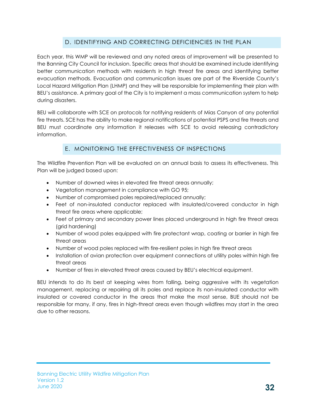# D. IDENTIFYING AND CORRECTING DEFICIENCIES IN THE PLAN

<span id="page-31-0"></span>Each year, this WMP will be reviewed and any noted areas of improvement will be presented to the Banning City Council for inclusion. Specific areas that should be examined include identifying better communication methods with residents in high threat fire areas and identifying better evacuation methods. Evacuation and communication issues are part of the Riverside County's Local Hazard Mitigation Plan (LHMP) and they will be responsible for implementing their plan with BEU's assistance. A primary goal of the City is to implement a mass communication system to help during disasters.

BEU will collaborate with SCE on protocols for notifying residents of Mias Canyon of any potential fire threats. SCE has the ability to make regional notifications of potential PSPS and fire threats and BEU must coordinate any information it releases with SCE to avoid releasing contradictory information.

# E. MONITORING THE EFFECTIVENESS OF INSPECTIONS

<span id="page-31-1"></span>The Wildfire Prevention Plan will be evaluated on an annual basis to assess its effectiveness. This Plan will be judged based upon:

- Number of downed wires in elevated fire threat areas annually;
- Vegetation management in compliance with GO 95;
- Number of compromised poles repaired/replaced annually;
- Feet of non-insulated conductor replaced with insulated/covered conductor in high threat fire areas where applicable;
- Feet of primary and secondary power lines placed underground in high fire threat areas (grid hardening)
- Number of wood poles equipped with fire protectant wrap, coating or barrier in high fire threat areas
- Number of wood poles replaced with fire-resilient poles in high fire threat areas
- Installation of avian protection over equipment connections at utility poles within high fire threat areas
- Number of fires in elevated threat areas caused by BEU's electrical equipment.

BEU intends to do its best at keeping wires from falling, being aggressive with its vegetation management, replacing or repairing all its poles and replace its non-insulated conductor with insulated or covered conductor in the areas that make the most sense, BUE should not be responsible for many, if any, fires in high-threat areas even though wildfires may start in the area due to other reasons.